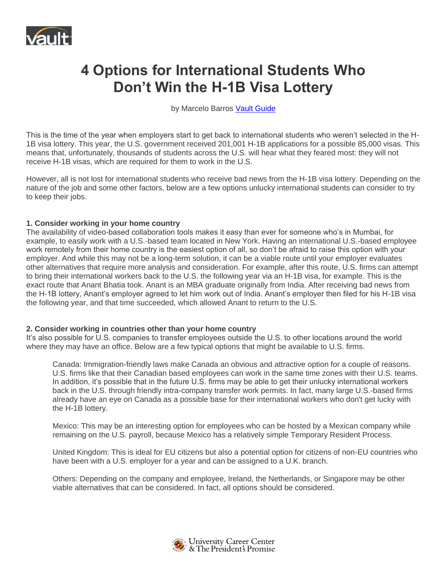

# **4 Options for International Students Who Don't Win the H-1B Visa Lottery**

by Marcelo Barros Vault [Guide](https://www.vault.com/blogs/international-students/4-options-for-international-students-who-don-t-win-the-h-1b-visa-lottery?&utm_source=WCU_Letter&utm_medium=Newsletter&utm_campaign=06_18_2019&referer_ID=7778&utm_source=&utm_medium=email&utm_campaign=105224)

This is the time of the year when employers start to get back to international students who weren't selected in the H-1B visa lottery. This year, the U.S. government received 201,001 H-1B applications for a possible 85,000 visas. This means that, unfortunately, thousands of students across the U.S. will hear what they feared most: they will not receive H-1B visas, which are required for them to work in the U.S.

However, all is not lost for international students who receive bad news from the H-1B visa lottery. Depending on the nature of the job and some other factors, below are a few options unlucky international students can consider to try to keep their jobs.

# **1. Consider working in your home country**

The availability of video-based collaboration tools makes it easy than ever for someone who's in Mumbai, for example, to easily work with a U.S.-based team located in New York. Having an international U.S.-based employee work remotely from their home country is the easiest option of all, so don't be afraid to raise this option with your employer. And while this may not be a long-term solution, it can be a viable route until your employer evaluates other alternatives that require more analysis and consideration. For example, after this route, U.S. firms can attempt to bring their international workers back to the U.S. the following year via an H-1B visa, for example. This is the exact route that Anant Bhatia took. Anant is an MBA graduate originally from India. After receiving bad news from the H-1B lottery, Anant's employer agreed to let him work out of India. Anant's employer then filed for his H-1B visa the following year, and that time succeeded, which allowed Anant to return to the U.S.

# **2. Consider working in countries other than your home country**

It's also possible for U.S. companies to transfer employees outside the U.S. to other locations around the world where they may have an office. Below are a few typical options that might be available to U.S. firms.

Canada: Immigration-friendly laws make Canada an obvious and attractive option for a couple of reasons. U.S. firms like that their Canadian based employees can work in the same time zones with their U.S. teams. In addition, it's possible that in the future U.S. firms may be able to get their unlucky international workers back in the U.S. through friendly intra-company transfer work permits. In fact, many large U.S.-based firms already have an eye on Canada as a possible base for their international workers who don't get lucky with the H-1B lottery.

Mexico: This may be an interesting option for employees who can be hosted by a Mexican company while remaining on the U.S. payroll, because Mexico has a relatively simple Temporary Resident Process.

United Kingdom: This is ideal for EU citizens but also a potential option for citizens of non-EU countries who have been with a U.S. employer for a year and can be assigned to a U.K. branch.

Others: Depending on the company and employee, Ireland, the Netherlands, or Singapore may be other viable alternatives that can be considered. In fact, all options should be considered.